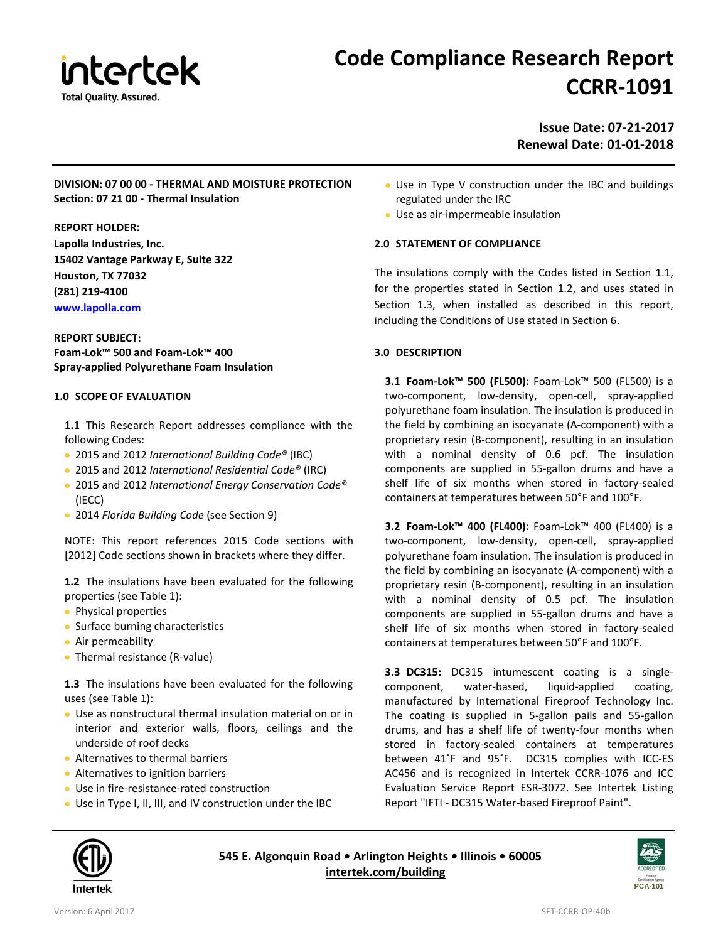

# **Code Compliance Research Report CCRR-1091**

### **Issue Date: 07-21-2017 Renewal Date: 01-01-2018**

#### **DIVISION: 07 00 00 - THERMAL AND MOISTURE PROTECTION Section: 07 21 00 - Thermal Insulation**

#### **REPORT HOLDER:**

**Lapolla Industries, Inc. 15402 Vantage Parkway E, Suite 322 Houston, TX 77032 (281) 219-4100 [www.lapolla.com](http://www.lapolla.com/)**

#### **REPORT SUBJECT: Foam-Lok™ 500 and Foam-Lok™ 400 Spray-applied Polyurethane Foam Insulation**

#### **1.0 SCOPE OF EVALUATION**

- **1.1** This Research Report addresses compliance with the following Codes:
- 2015 and 2012 *International Building Code®* (IBC)
- 2015 and 2012 *International Residential Code®* (IRC)
- 2015 and 2012 *International Energy Conservation Code®*  (IECC)
- 2014 *Florida Building Code* (see Section 9)

NOTE: This report references 2015 Code sections with [2012] Code sections shown in brackets where they differ.

**1.2** The insulations have been evaluated for the following properties (see Table 1):

- Physical properties
- Surface burning characteristics
- Air permeability
- Thermal resistance (R-value)

**1.3** The insulations have been evaluated for the following uses (see Table 1):

- Use as nonstructural thermal insulation material on or in interior and exterior walls, floors, ceilings and the underside of roof decks
- Alternatives to thermal barriers
- Alternatives to ignition barriers
- Use in fire-resistance-rated construction
- Use in Type I, II, III, and IV construction under the IBC
- Use in Type V construction under the IBC and buildings regulated under the IRC
- Use as air-impermeable insulation

#### **2.0 STATEMENT OF COMPLIANCE**

The insulations comply with the Codes listed in Section 1.1, for the properties stated in Section 1.2, and uses stated in Section 1.3, when installed as described in this report, including the Conditions of Use stated in Section 6.

#### **3.0 DESCRIPTION**

**3.1 Foam-Lok™ 500 (FL500):** Foam-Lok™ 500 (FL500) is a two-component, low-density, open-cell, spray-applied polyurethane foam insulation. The insulation is produced in the field by combining an isocyanate (A-component) with a proprietary resin (B-component), resulting in an insulation with a nominal density of 0.6 pcf. The insulation components are supplied in 55-gallon drums and have a shelf life of six months when stored in factory-sealed containers at temperatures between 50°F and 100°F.

**3.2 Foam-Lok™ 400 (FL400):** Foam-Lok™ 400 (FL400) is a two-component, low-density, open-cell, spray-applied polyurethane foam insulation. The insulation is produced in the field by combining an isocyanate (A-component) with a proprietary resin (B-component), resulting in an insulation with a nominal density of 0.5 pcf. The insulation components are supplied in 55-gallon drums and have a shelf life of six months when stored in factory-sealed containers at temperatures between 50°F and 100°F.

**3.3 DC315:** DC315 intumescent coating is a singlecomponent, water-based, liquid-applied coating, manufactured by International Fireproof Technology Inc. The coating is supplied in 5-gallon pails and 55-gallon drums, and has a shelf life of twenty-four months when stored in factory-sealed containers at temperatures between 41˚F and 95˚F. DC315 complies with ICC-ES AC456 and is recognized in Intertek CCRR-1076 and ICC Evaluation Service Report ESR-3072. See Intertek Listing Report "IFTI - DC315 Water-based Fireproof Paint".



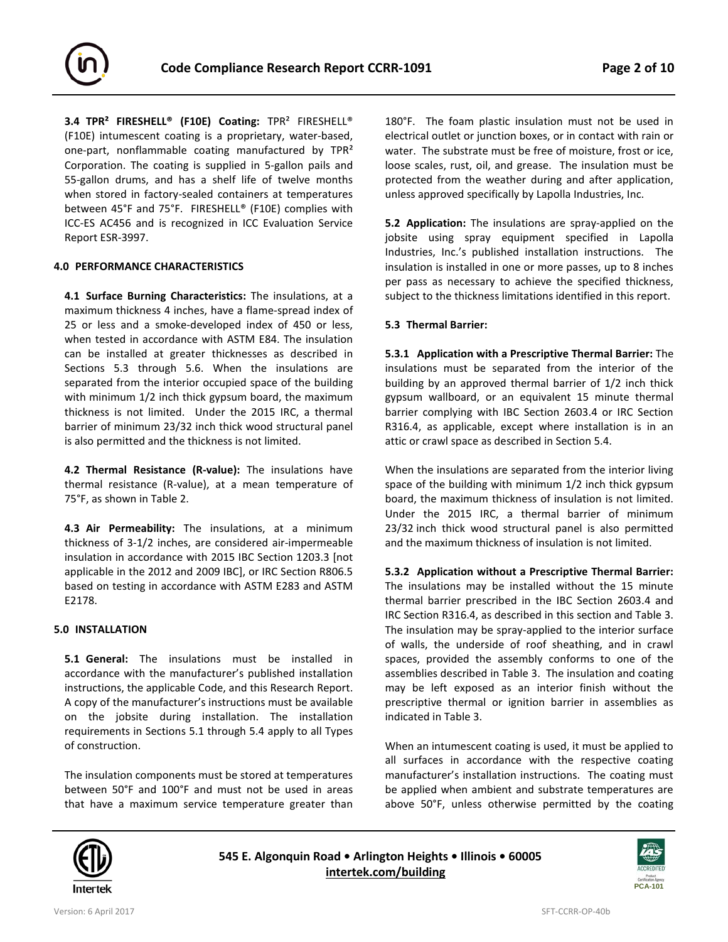

**3.4 TPR² FIRESHELL® (F10E) Coating:** TPR² FIRESHELL® (F10E) intumescent coating is a proprietary, water-based, one-part, nonflammable coating manufactured by TPR² Corporation. The coating is supplied in 5-gallon pails and 55-gallon drums, and has a shelf life of twelve months when stored in factory-sealed containers at temperatures between 45°F and 75°F. FIRESHELL® (F10E) complies with ICC-ES AC456 and is recognized in ICC Evaluation Service Report ESR-3997.

#### **4.0 PERFORMANCE CHARACTERISTICS**

**4.1 Surface Burning Characteristics:** The insulations, at a maximum thickness 4 inches, have a flame-spread index of 25 or less and a smoke-developed index of 450 or less, when tested in accordance with ASTM E84. The insulation can be installed at greater thicknesses as described in Sections 5.3 through 5.6. When the insulations are separated from the interior occupied space of the building with minimum 1/2 inch thick gypsum board, the maximum thickness is not limited. Under the 2015 IRC, a thermal barrier of minimum 23/32 inch thick wood structural panel is also permitted and the thickness is not limited.

**4.2 Thermal Resistance (R-value):** The insulations have thermal resistance (R-value), at a mean temperature of 75°F, as shown in Table 2.

**4.3 Air Permeability:** The insulations, at a minimum thickness of 3-1/2 inches, are considered air-impermeable insulation in accordance with 2015 IBC Section 1203.3 [not applicable in the 2012 and 2009 IBC], or IRC Section R806.5 based on testing in accordance with ASTM E283 and ASTM E2178.

#### **5.0 INSTALLATION**

**5.1 General:** The insulations must be installed in accordance with the manufacturer's published installation instructions, the applicable Code, and this Research Report. A copy of the manufacturer's instructions must be available on the jobsite during installation. The installation requirements in Sections 5.1 through 5.4 apply to all Types of construction.

The insulation components must be stored at temperatures between 50°F and 100°F and must not be used in areas that have a maximum service temperature greater than

180°F. The foam plastic insulation must not be used in electrical outlet or junction boxes, or in contact with rain or water. The substrate must be free of moisture, frost or ice, loose scales, rust, oil, and grease. The insulation must be protected from the weather during and after application, unless approved specifically by Lapolla Industries, Inc.

**5.2 Application:** The insulations are spray-applied on the jobsite using spray equipment specified in Lapolla Industries, Inc.'s published installation instructions. The insulation is installed in one or more passes, up to 8 inches per pass as necessary to achieve the specified thickness, subject to the thickness limitations identified in this report.

#### **5.3 Thermal Barrier:**

**5.3.1 Application with a Prescriptive Thermal Barrier:** The insulations must be separated from the interior of the building by an approved thermal barrier of 1/2 inch thick gypsum wallboard, or an equivalent 15 minute thermal barrier complying with IBC Section 2603.4 or IRC Section R316.4, as applicable, except where installation is in an attic or crawl space as described in Section 5.4.

When the insulations are separated from the interior living space of the building with minimum 1/2 inch thick gypsum board, the maximum thickness of insulation is not limited. Under the 2015 IRC, a thermal barrier of minimum 23/32 inch thick wood structural panel is also permitted and the maximum thickness of insulation is not limited.

**5.3.2 Application without a Prescriptive Thermal Barrier:**  The insulations may be installed without the 15 minute thermal barrier prescribed in the IBC Section 2603.4 and IRC Section R316.4, as described in this section and Table 3. The insulation may be spray-applied to the interior surface of walls, the underside of roof sheathing, and in crawl spaces, provided the assembly conforms to one of the assemblies described in Table 3. The insulation and coating may be left exposed as an interior finish without the prescriptive thermal or ignition barrier in assemblies as indicated in Table 3.

When an intumescent coating is used, it must be applied to all surfaces in accordance with the respective coating manufacturer's installation instructions. The coating must be applied when ambient and substrate temperatures are above 50°F, unless otherwise permitted by the coating



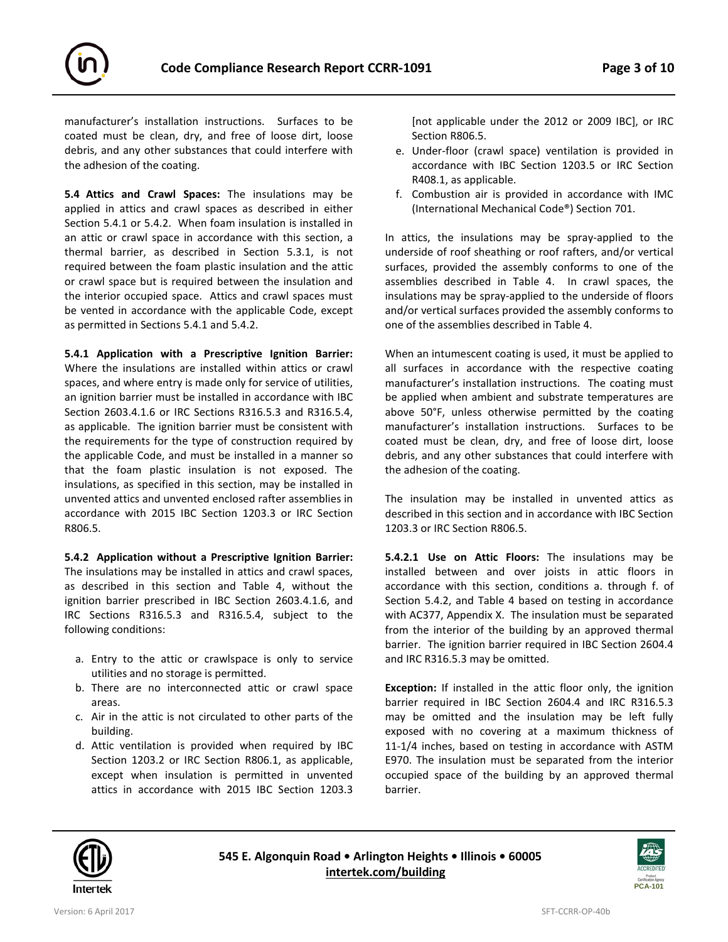

manufacturer's installation instructions. Surfaces to be coated must be clean, dry, and free of loose dirt, loose debris, and any other substances that could interfere with the adhesion of the coating.

**5.4 Attics and Crawl Spaces:** The insulations may be applied in attics and crawl spaces as described in either Section 5.4.1 or 5.4.2. When foam insulation is installed in an attic or crawl space in accordance with this section, a thermal barrier, as described in Section 5.3.1, is not required between the foam plastic insulation and the attic or crawl space but is required between the insulation and the interior occupied space. Attics and crawl spaces must be vented in accordance with the applicable Code, except as permitted in Sections 5.4.1 and 5.4.2.

**5.4.1 Application with a Prescriptive Ignition Barrier:** Where the insulations are installed within attics or crawl spaces, and where entry is made only for service of utilities, an ignition barrier must be installed in accordance with IBC Section 2603.4.1.6 or IRC Sections R316.5.3 and R316.5.4, as applicable. The ignition barrier must be consistent with the requirements for the type of construction required by the applicable Code, and must be installed in a manner so that the foam plastic insulation is not exposed. The insulations, as specified in this section, may be installed in unvented attics and unvented enclosed rafter assemblies in accordance with 2015 IBC Section 1203.3 or IRC Section R806.5.

**5.4.2 Application without a Prescriptive Ignition Barrier:**  The insulations may be installed in attics and crawl spaces, as described in this section and Table 4, without the ignition barrier prescribed in IBC Section 2603.4.1.6, and IRC Sections R316.5.3 and R316.5.4, subject to the following conditions:

- a. Entry to the attic or crawlspace is only to service utilities and no storage is permitted.
- b. There are no interconnected attic or crawl space areas.
- c. Air in the attic is not circulated to other parts of the building.
- d. Attic ventilation is provided when required by IBC Section 1203.2 or IRC Section R806.1, as applicable, except when insulation is permitted in unvented attics in accordance with 2015 IBC Section 1203.3

[not applicable under the 2012 or 2009 IBC], or IRC Section R806.5.

- e. Under-floor (crawl space) ventilation is provided in accordance with IBC Section 1203.5 or IRC Section R408.1, as applicable.
- f. Combustion air is provided in accordance with IMC (International Mechanical Code®) Section 701.

In attics, the insulations may be spray-applied to the underside of roof sheathing or roof rafters, and/or vertical surfaces, provided the assembly conforms to one of the assemblies described in Table 4. In crawl spaces, the insulations may be spray-applied to the underside of floors and/or vertical surfaces provided the assembly conforms to one of the assemblies described in Table 4.

When an intumescent coating is used, it must be applied to all surfaces in accordance with the respective coating manufacturer's installation instructions. The coating must be applied when ambient and substrate temperatures are above 50°F, unless otherwise permitted by the coating manufacturer's installation instructions. Surfaces to be coated must be clean, dry, and free of loose dirt, loose debris, and any other substances that could interfere with the adhesion of the coating.

The insulation may be installed in unvented attics as described in this section and in accordance with IBC Section 1203.3 or IRC Section R806.5.

**5.4.2.1 Use on Attic Floors:** The insulations may be installed between and over joists in attic floors in accordance with this section, conditions a. through f. of Section 5.4.2, and Table 4 based on testing in accordance with AC377, Appendix X. The insulation must be separated from the interior of the building by an approved thermal barrier. The ignition barrier required in IBC Section 2604.4 and IRC R316.5.3 may be omitted.

**Exception:** If installed in the attic floor only, the ignition barrier required in IBC Section 2604.4 and IRC R316.5.3 may be omitted and the insulation may be left fully exposed with no covering at a maximum thickness of 11-1/4 inches, based on testing in accordance with ASTM E970. The insulation must be separated from the interior occupied space of the building by an approved thermal barrier.



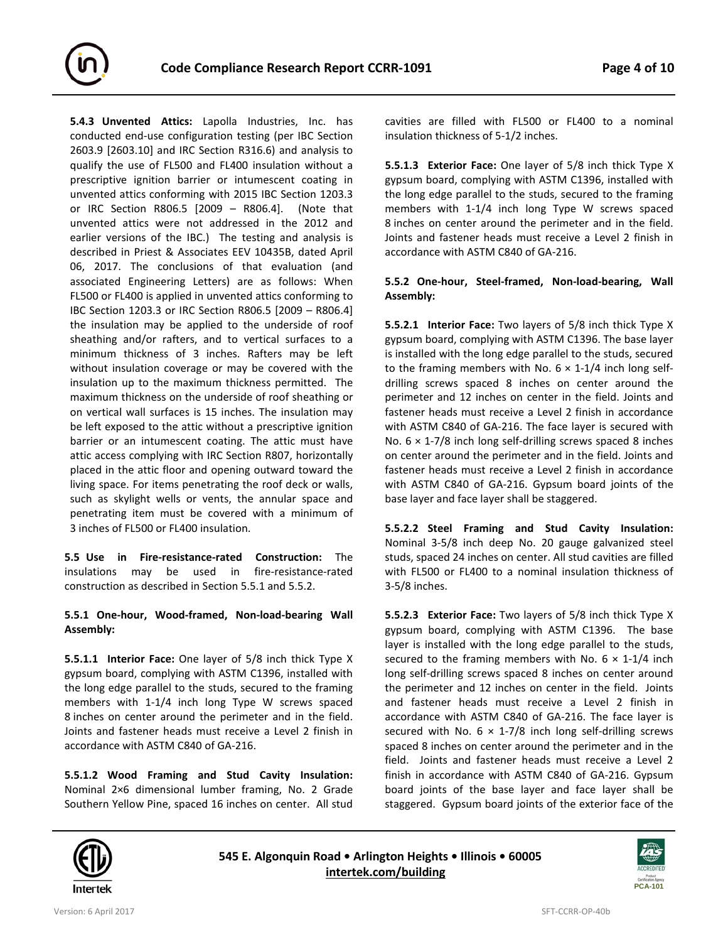

**5.4.3 Unvented Attics:** Lapolla Industries, Inc. has conducted end-use configuration testing (per IBC Section 2603.9 [2603.10] and IRC Section R316.6) and analysis to qualify the use of FL500 and FL400 insulation without a prescriptive ignition barrier or intumescent coating in unvented attics conforming with 2015 IBC Section 1203.3 or IRC Section R806.5 [2009 – R806.4]. (Note that unvented attics were not addressed in the 2012 and earlier versions of the IBC.) The testing and analysis is described in Priest & Associates EEV 10435B, dated April 06, 2017. The conclusions of that evaluation (and associated Engineering Letters) are as follows: When FL500 or FL400 is applied in unvented attics conforming to IBC Section 1203.3 or IRC Section R806.5 [2009 – R806.4] the insulation may be applied to the underside of roof sheathing and/or rafters, and to vertical surfaces to a minimum thickness of 3 inches. Rafters may be left without insulation coverage or may be covered with the insulation up to the maximum thickness permitted. The maximum thickness on the underside of roof sheathing or on vertical wall surfaces is 15 inches. The insulation may be left exposed to the attic without a prescriptive ignition barrier or an intumescent coating. The attic must have attic access complying with IRC Section R807, horizontally placed in the attic floor and opening outward toward the living space. For items penetrating the roof deck or walls, such as skylight wells or vents, the annular space and penetrating item must be covered with a minimum of 3 inches of FL500 or FL400 insulation.

**5.5 Use in Fire-resistance-rated Construction:** The insulations may be used in fire-resistance-rated construction as described in Section 5.5.1 and 5.5.2.

#### **5.5.1 One-hour, Wood-framed, Non-load-bearing Wall Assembly:**

**5.5.1.1 Interior Face:** One layer of 5/8 inch thick Type X gypsum board, complying with ASTM C1396, installed with the long edge parallel to the studs, secured to the framing members with 1-1/4 inch long Type W screws spaced 8 inches on center around the perimeter and in the field. Joints and fastener heads must receive a Level 2 finish in accordance with ASTM C840 of GA-216.

**5.5.1.2 Wood Framing and Stud Cavity Insulation:** Nominal 2×6 dimensional lumber framing, No. 2 Grade Southern Yellow Pine, spaced 16 inches on center. All stud

cavities are filled with FL500 or FL400 to a nominal insulation thickness of 5-1/2 inches.

**5.5.1.3 Exterior Face:** One layer of 5/8 inch thick Type X gypsum board, complying with ASTM C1396, installed with the long edge parallel to the studs, secured to the framing members with 1-1/4 inch long Type W screws spaced 8 inches on center around the perimeter and in the field. Joints and fastener heads must receive a Level 2 finish in accordance with ASTM C840 of GA-216.

#### **5.5.2 One-hour, Steel-framed, Non-load-bearing, Wall Assembly:**

**5.5.2.1 Interior Face:** Two layers of 5/8 inch thick Type X gypsum board, complying with ASTM C1396. The base layer is installed with the long edge parallel to the studs, secured to the framing members with No.  $6 \times 1$ -1/4 inch long selfdrilling screws spaced 8 inches on center around the perimeter and 12 inches on center in the field. Joints and fastener heads must receive a Level 2 finish in accordance with ASTM C840 of GA-216. The face layer is secured with No.  $6 \times 1$ -7/8 inch long self-drilling screws spaced 8 inches on center around the perimeter and in the field. Joints and fastener heads must receive a Level 2 finish in accordance with ASTM C840 of GA-216. Gypsum board joints of the base layer and face layer shall be staggered.

**5.5.2.2 Steel Framing and Stud Cavity Insulation:** Nominal 3-5/8 inch deep No. 20 gauge galvanized steel studs, spaced 24 inches on center. All stud cavities are filled with FL500 or FL400 to a nominal insulation thickness of 3-5/8 inches.

**5.5.2.3 Exterior Face:** Two layers of 5/8 inch thick Type X gypsum board, complying with ASTM C1396. The base layer is installed with the long edge parallel to the studs, secured to the framing members with No.  $6 \times 1$ -1/4 inch long self-drilling screws spaced 8 inches on center around the perimeter and 12 inches on center in the field. Joints and fastener heads must receive a Level 2 finish in accordance with ASTM C840 of GA-216. The face layer is secured with No.  $6 \times 1$ -7/8 inch long self-drilling screws spaced 8 inches on center around the perimeter and in the field. Joints and fastener heads must receive a Level 2 finish in accordance with ASTM C840 of GA-216. Gypsum board joints of the base layer and face layer shall be staggered. Gypsum board joints of the exterior face of the



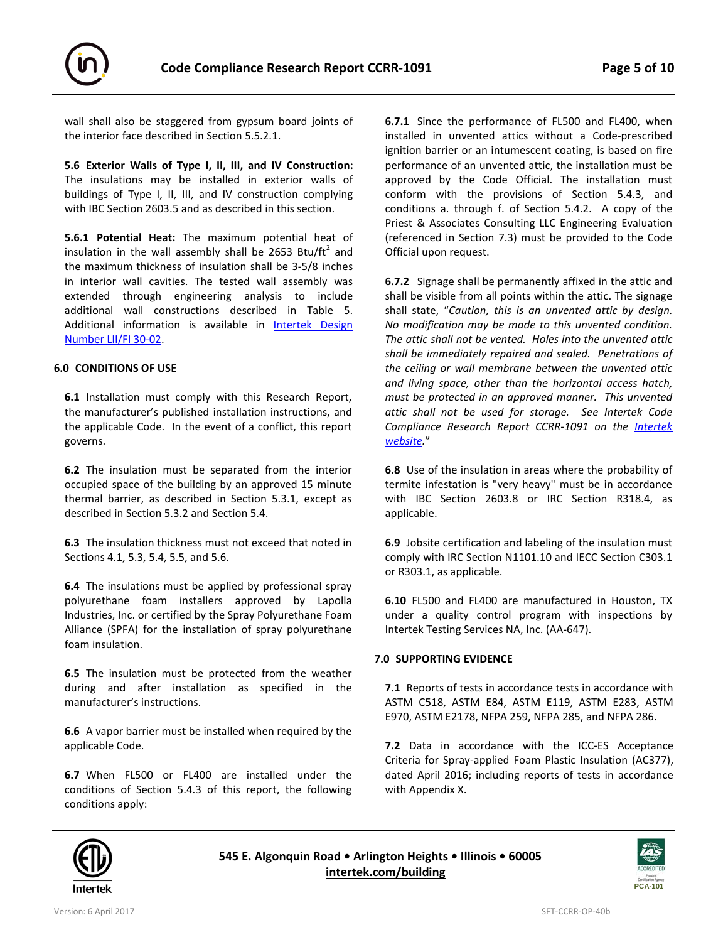

wall shall also be staggered from gypsum board joints of the interior face described in Section 5.5.2.1.

**5.6 Exterior Walls of Type I, II, III, and IV Construction:** The insulations may be installed in exterior walls of buildings of Type I, II, III, and IV construction complying with IBC Section 2603.5 and as described in this section.

**5.6.1 Potential Heat:** The maximum potential heat of insulation in the wall assembly shall be 2653 Btu/ft<sup>2</sup> and the maximum thickness of insulation shall be 3-5/8 inches in interior wall cavities. The tested wall assembly was extended through engineering analysis to include additional wall constructions described in Table 5. Additional information is available in [Intertek Design](https://bpdirectory.intertek.com/pages/DLP_SearchDetail.aspx?SpecID=28368)  [Number LII/FI 30-02.](https://bpdirectory.intertek.com/pages/DLP_SearchDetail.aspx?SpecID=28368)

#### **6.0 CONDITIONS OF USE**

**6.1** Installation must comply with this Research Report, the manufacturer's published installation instructions, and the applicable Code. In the event of a conflict, this report governs.

**6.2** The insulation must be separated from the interior occupied space of the building by an approved 15 minute thermal barrier, as described in Section 5.3.1, except as described in Section 5.3.2 and Section 5.4.

**6.3** The insulation thickness must not exceed that noted in Sections 4.1, 5.3, 5.4, 5.5, and 5.6.

**6.4** The insulations must be applied by professional spray polyurethane foam installers approved by Lapolla Industries, Inc. or certified by the Spray Polyurethane Foam Alliance (SPFA) for the installation of spray polyurethane foam insulation.

**6.5** The insulation must be protected from the weather during and after installation as specified in the manufacturer's instructions.

**6.6** A vapor barrier must be installed when required by the applicable Code.

**6.7** When FL500 or FL400 are installed under the conditions of Section 5.4.3 of this report, the following conditions apply:

**6.7.1** Since the performance of FL500 and FL400, when installed in unvented attics without a Code-prescribed ignition barrier or an intumescent coating, is based on fire performance of an unvented attic, the installation must be approved by the Code Official. The installation must conform with the provisions of Section 5.4.3, and conditions a. through f. of Section 5.4.2. A copy of the Priest & Associates Consulting LLC Engineering Evaluation (referenced in Section 7.3) must be provided to the Code Official upon request.

**6.7.2** Signage shall be permanently affixed in the attic and shall be visible from all points within the attic. The signage shall state, "*Caution, this is an unvented attic by design. No modification may be made to this unvented condition. The attic shall not be vented. Holes into the unvented attic shall be immediately repaired and sealed. Penetrations of the ceiling or wall membrane between the unvented attic and living space, other than the horizontal access hatch, must be protected in an approved manner. This unvented attic shall not be used for storage. See Intertek Code Compliance Research Report CCRR-1091 on the [Intertek](https://bpdirectory.intertek.com/pages/DLP_SearchDetail.aspx?SpecID=28368)  [website.](https://bpdirectory.intertek.com/pages/DLP_SearchDetail.aspx?SpecID=28368)*"

**6.8** Use of the insulation in areas where the probability of termite infestation is "very heavy" must be in accordance with IBC Section 2603.8 or IRC Section R318.4, as applicable.

**6.9** Jobsite certification and labeling of the insulation must comply with IRC Section N1101.10 and IECC Section C303.1 or R303.1, as applicable.

**6.10** FL500 and FL400 are manufactured in Houston, TX under a quality control program with inspections by Intertek Testing Services NA, Inc. (AA-647).

#### **7.0 SUPPORTING EVIDENCE**

**7.1** Reports of tests in accordance tests in accordance with ASTM C518, ASTM E84, ASTM E119, ASTM E283, ASTM E970, ASTM E2178, NFPA 259, NFPA 285, and NFPA 286.

**7.2** Data in accordance with the ICC-ES Acceptance Criteria for Spray-applied Foam Plastic Insulation (AC377), dated April 2016; including reports of tests in accordance with Appendix X.



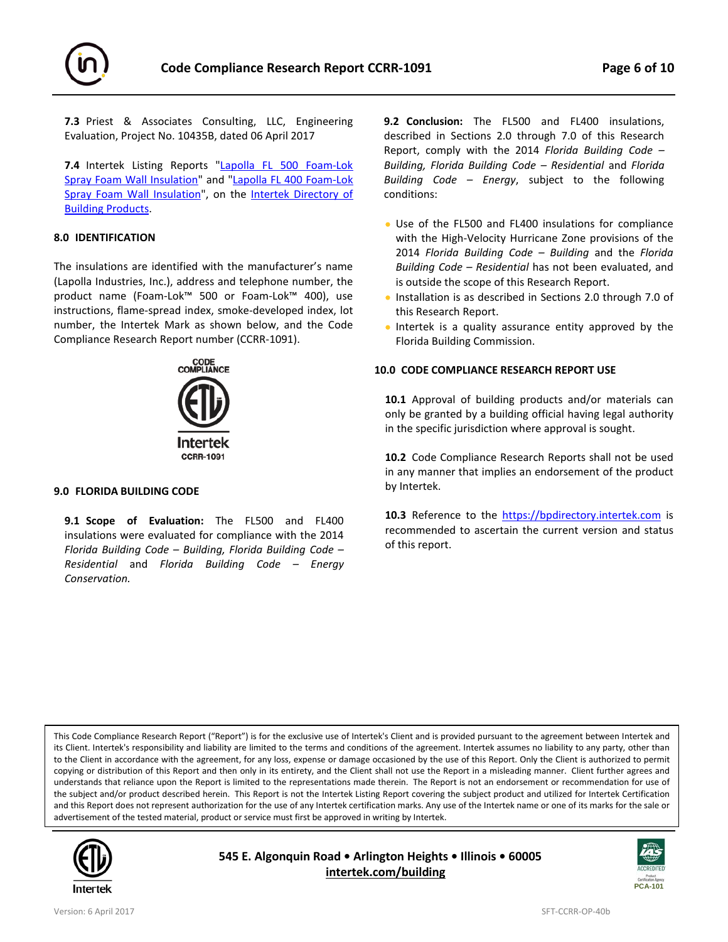

**7.3** Priest & Associates Consulting, LLC, Engineering Evaluation, Project No. 10435B, dated 06 April 2017

**7.4** Intertek Listing Reports ["Lapolla FL 500 Foam-Lok](http://bpdirectory.intertek.com/pages/DLP_SearchDetail.aspx?SpecID=28368)  [Spray Foam Wall Insulation"](http://bpdirectory.intertek.com/pages/DLP_SearchDetail.aspx?SpecID=28368) and ["Lapolla FL 400 Foam-Lok](http://bpdirectory.intertek.com/pages/DLP_SearchDetail.aspx?SpecID=28368)  [Spray Foam Wall Insulation"](http://bpdirectory.intertek.com/pages/DLP_SearchDetail.aspx?SpecID=28368), on the Intertek Directory of [Building Products.](https://bpdirectory.intertek.com/Pages/DLP_Search.aspx) 

#### **8.0 IDENTIFICATION**

The insulations are identified with the manufacturer's name (Lapolla Industries, Inc.), address and telephone number, the product name (Foam-Lok™ 500 or Foam-Lok™ 400), use instructions, flame-spread index, smoke-developed index, lot number, the Intertek Mark as shown below, and the Code Compliance Research Report number (CCRR-1091).



#### **9.0 FLORIDA BUILDING CODE**

**9.1 Scope of Evaluation:** The FL500 and FL400 insulations were evaluated for compliance with the 2014 *Florida Building Code – Building, Florida Building Code – Residential* and *Florida Building Code – Energy Conservation.*

**9.2 Conclusion:** The FL500 and FL400 insulations, described in Sections 2.0 through 7.0 of this Research Report, comply with the 2014 *Florida Building Code – Building, Florida Building Code – Residential* and *Florida Building Code – Energy*, subject to the following conditions:

- Use of the FL500 and FL400 insulations for compliance with the High-Velocity Hurricane Zone provisions of the 2014 *Florida Building Code – Building* and the *Florida Building Code – Residential* has not been evaluated, and is outside the scope of this Research Report.
- Installation is as described in Sections 2.0 through 7.0 of this Research Report.
- Intertek is a quality assurance entity approved by the Florida Building Commission.

#### **10.0 CODE COMPLIANCE RESEARCH REPORT USE**

**10.1** Approval of building products and/or materials can only be granted by a building official having legal authority in the specific jurisdiction where approval is sought.

**10.2** Code Compliance Research Reports shall not be used in any manner that implies an endorsement of the product by Intertek.

**10.3** Reference to the [https://bpdirectory.intertek.com](https://bpdirectory.intertek.com/pages/DLP_SearchDetail.aspx?SpecID=28368) is recommended to ascertain the current version and status of this report.

This Code Compliance Research Report ("Report") is for the exclusive use of Intertek's Client and is provided pursuant to the agreement between Intertek and its Client. Intertek's responsibility and liability are limited to the terms and conditions of the agreement. Intertek assumes no liability to any party, other than to the Client in accordance with the agreement, for any loss, expense or damage occasioned by the use of this Report. Only the Client is authorized to permit copying or distribution of this Report and then only in its entirety, and the Client shall not use the Report in a misleading manner. Client further agrees and understands that reliance upon the Report is limited to the representations made therein. The Report is not an endorsement or recommendation for use of the subject and/or product described herein. This Report is not the Intertek Listing Report covering the subject product and utilized for Intertek Certification and this Report does not represent authorization for the use of any Intertek certification marks. Any use of the Intertek name or one of its marks for the sale or advertisement of the tested material, product or service must first be approved in writing by Intertek.



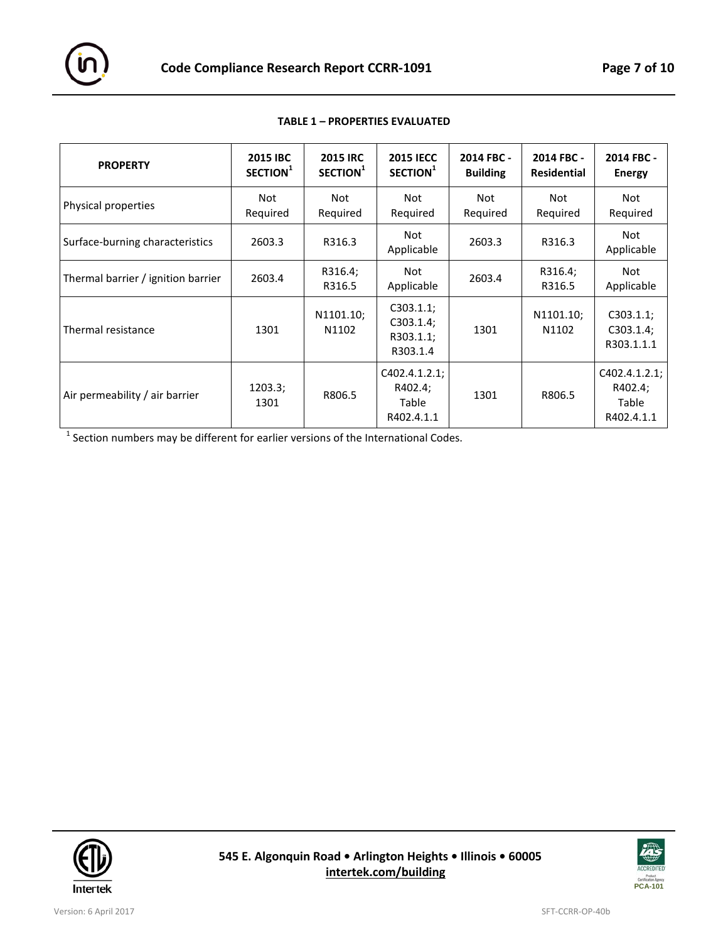

| <b>PROPERTY</b>                    | <b>2015 IBC</b><br>SECTION <sup>1</sup> | <b>2015 IRC</b><br>SECTION <sup>1</sup> | <b>2015 IECC</b><br>SECTION <sup>1</sup>        | 2014 FBC -<br><b>Building</b> | 2014 FBC -<br><b>Residential</b> | 2014 FBC -<br><b>Energy</b>                     |
|------------------------------------|-----------------------------------------|-----------------------------------------|-------------------------------------------------|-------------------------------|----------------------------------|-------------------------------------------------|
| Physical properties                | Not<br>Required                         | Not<br>Required                         | Not<br>Required                                 | <b>Not</b><br>Required        | Not<br>Required                  | Not<br>Required                                 |
| Surface-burning characteristics    | 2603.3                                  | R316.3                                  | Not<br>Applicable                               | 2603.3                        | R316.3                           | Not<br>Applicable                               |
| Thermal barrier / ignition barrier | 2603.4                                  | R316.4;<br>R316.5                       | Not<br>Applicable                               | 2603.4                        | R316.4;<br>R316.5                | Not<br>Applicable                               |
| Thermal resistance                 | 1301                                    | N1101.10;<br>N1102                      | C303.1.1;<br>C303.1.4;<br>R303.1.1;<br>R303.1.4 | 1301                          | N1101.10;<br>N1102               | C303.1.1;<br>C303.1.4;<br>R303.1.1.1            |
| Air permeability / air barrier     | 1203.3;<br>1301                         | R806.5                                  | C402.4.1.2.1;<br>R402.4;<br>Table<br>R402.4.1.1 | 1301                          | R806.5                           | C402.4.1.2.1;<br>R402.4;<br>Table<br>R402.4.1.1 |

#### **TABLE 1 – PROPERTIES EVALUATED**

 $\overline{1}$  Section numbers may be different for earlier versions of the International Codes.



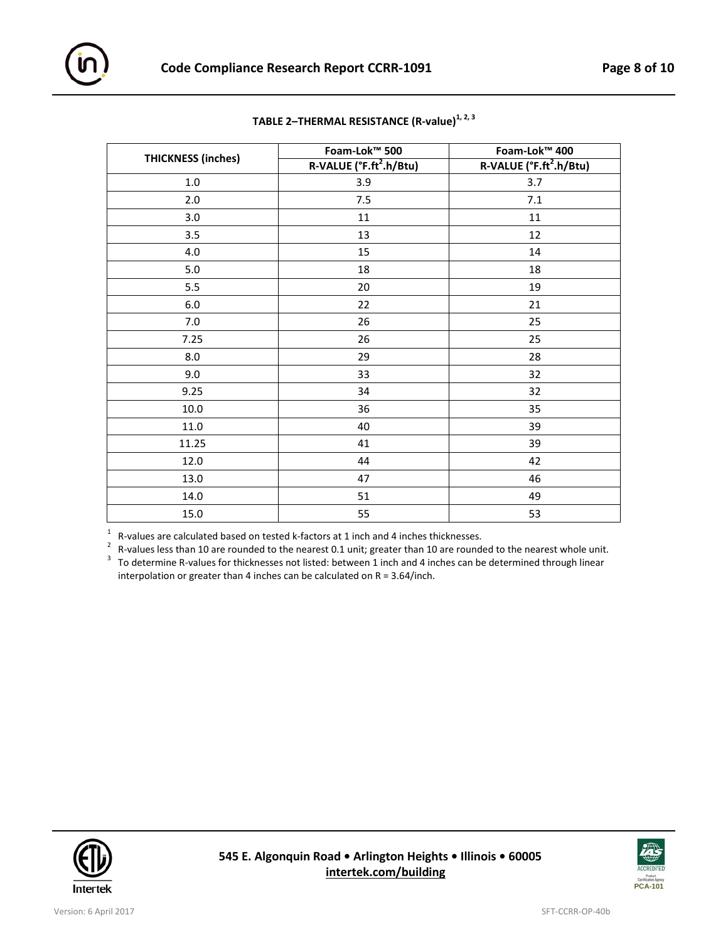|                           | Foam-Lok™ 500                       | Foam-Lok™ 400                       |  |  |
|---------------------------|-------------------------------------|-------------------------------------|--|--|
| <b>THICKNESS (inches)</b> | R-VALUE (°F.ft <sup>2</sup> .h/Btu) | R-VALUE (°F.ft <sup>2</sup> .h/Btu) |  |  |
| $1.0\,$                   | 3.9                                 | 3.7                                 |  |  |
| 2.0                       | 7.5<br>$7.1\,$                      |                                     |  |  |
| 3.0                       | 11                                  | $11\,$                              |  |  |
| 3.5                       | 13                                  | 12                                  |  |  |
| 4.0                       | 15                                  | 14                                  |  |  |
| $5.0\,$                   | 18                                  | 18                                  |  |  |
| 5.5                       | 20                                  | 19                                  |  |  |
| $6.0\,$                   | 22                                  | 21                                  |  |  |
| $7.0\,$                   | 26                                  | 25                                  |  |  |
| 7.25                      | 26                                  | 25                                  |  |  |
| 8.0                       | 29                                  | 28                                  |  |  |
| 9.0                       | 33                                  | 32                                  |  |  |
| 9.25                      | 34                                  | 32                                  |  |  |
| 10.0                      | 36                                  | 35                                  |  |  |
| 11.0                      | 40                                  | 39                                  |  |  |
| 11.25                     | 41                                  | 39                                  |  |  |
| 12.0                      | 44                                  | 42                                  |  |  |
| 13.0                      | 47                                  | 46                                  |  |  |
| 14.0                      | 51                                  | 49                                  |  |  |
| 15.0                      | 55                                  | 53                                  |  |  |

## **TABLE 2–THERMAL RESISTANCE (R-value)1, 2, 3**

<sup>1</sup> R-values are calculated based on tested k-factors at 1 inch and 4 inches thicknesses.<br><sup>2</sup> R-values less than 10 are rounded to the nearest 0.1 unit; greater than 10 are rounded to the nearest whole unit.<br><sup>3</sup> To determ

interpolation or greater than 4 inches can be calculated on R = 3.64/inch.



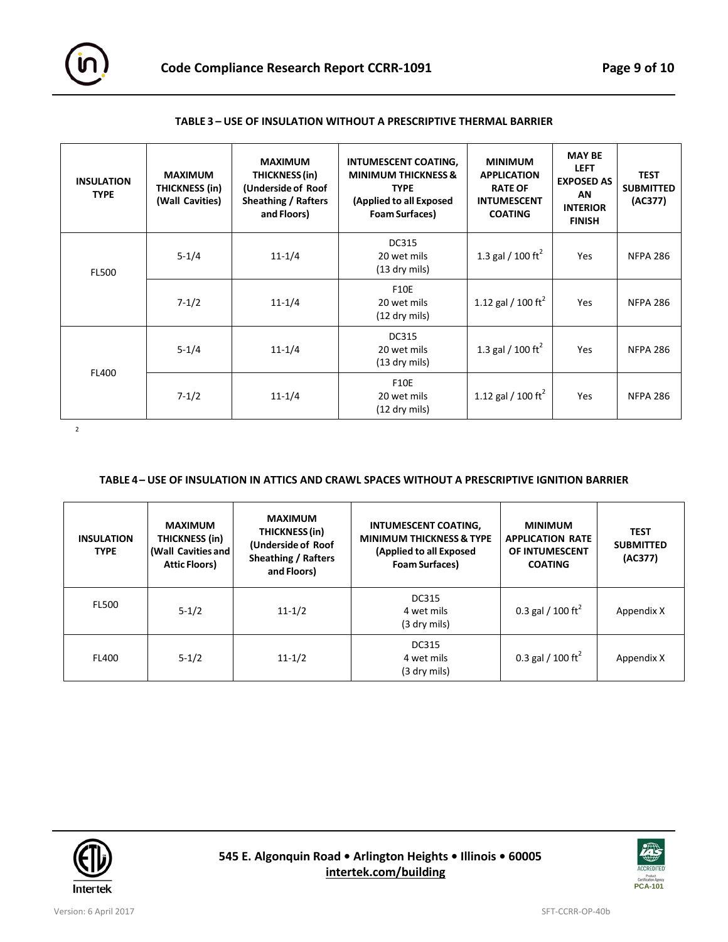

| <b>INSULATION</b><br><b>TYPE</b> | <b>MAXIMUM</b><br>THICKNESS (in)<br>(Wall Cavities) | <b>MAXIMUM</b><br>THICKNESS (in)<br>(Underside of Roof<br><b>Sheathing / Rafters</b><br>and Floors) | INTUMESCENT COATING,<br><b>MINIMUM THICKNESS &amp;</b><br><b>TYPE</b><br>(Applied to all Exposed<br><b>Foam Surfaces)</b> | <b>MINIMUM</b><br><b>APPLICATION</b><br><b>RATE OF</b><br><b>INTUMESCENT</b><br><b>COATING</b> | <b>MAY BE</b><br><b>LEFT</b><br><b>EXPOSED AS</b><br><b>AN</b><br><b>INTERIOR</b><br><b>FINISH</b> | <b>TEST</b><br><b>SUBMITTED</b><br>(AC377) |
|----------------------------------|-----------------------------------------------------|-----------------------------------------------------------------------------------------------------|---------------------------------------------------------------------------------------------------------------------------|------------------------------------------------------------------------------------------------|----------------------------------------------------------------------------------------------------|--------------------------------------------|
| <b>FL500</b>                     | $5 - 1/4$                                           | $11 - 1/4$                                                                                          | <b>DC315</b><br>20 wet mils<br>$(13$ dry mils)                                                                            | 1.3 gal / 100 ft <sup>2</sup>                                                                  | Yes                                                                                                | <b>NFPA 286</b>                            |
|                                  | $7 - 1/2$                                           | $11 - 1/4$                                                                                          | <b>F10E</b><br>20 wet mils<br>$(12$ dry mils)                                                                             | 1.12 gal / 100 ft <sup>2</sup>                                                                 | Yes                                                                                                | <b>NFPA 286</b>                            |
|                                  | $5 - 1/4$                                           | $11 - 1/4$                                                                                          | <b>DC315</b><br>20 wet mils<br>$(13$ dry mils)                                                                            | 1.3 gal / 100 ft <sup>2</sup>                                                                  | Yes                                                                                                | <b>NFPA 286</b>                            |
| <b>FL400</b>                     | $7 - 1/2$                                           | $11 - 1/4$                                                                                          | <b>F10E</b><br>20 wet mils<br>$(12$ dry mils)                                                                             | 1.12 gal / 100 ft <sup>2</sup>                                                                 | Yes                                                                                                | <b>NFPA 286</b>                            |

#### **TABLE 3 – USE OF INSULATION WITHOUT A PRESCRIPTIVE THERMAL BARRIER**

2

#### **TABLE 4 – USE OF INSULATION IN ATTICS AND CRAWL SPACES WITHOUT A PRESCRIPTIVE IGNITION BARRIER**

| <b>INSULATION</b><br><b>TYPE</b> | <b>MAXIMUM</b><br><b>THICKNESS (in)</b><br>(Wall Cavities and<br><b>Attic Floors)</b> | <b>MAXIMUM</b><br>THICKNESS (in)<br>(Underside of Roof<br><b>Sheathing / Rafters</b><br>and Floors) | INTUMESCENT COATING,<br><b>MINIMUM THICKNESS &amp; TYPE</b><br>(Applied to all Exposed<br><b>Foam Surfaces)</b> | <b>MINIMUM</b><br><b>APPLICATION RATE</b><br>OF INTUMESCENT<br><b>COATING</b> | <b>TEST</b><br><b>SUBMITTED</b><br>(AC377) |
|----------------------------------|---------------------------------------------------------------------------------------|-----------------------------------------------------------------------------------------------------|-----------------------------------------------------------------------------------------------------------------|-------------------------------------------------------------------------------|--------------------------------------------|
| <b>FL500</b>                     | $5 - 1/2$                                                                             | $11 - 1/2$                                                                                          | <b>DC315</b><br>4 wet mils<br>(3 dry mils)                                                                      | 0.3 gal / 100 ft <sup>2</sup>                                                 | Appendix X                                 |
| <b>FL400</b>                     | $5 - 1/2$                                                                             | $11 - 1/2$                                                                                          | <b>DC315</b><br>4 wet mils<br>(3 dry mils)                                                                      | 0.3 gal / 100 ft <sup>2</sup>                                                 | Appendix X                                 |